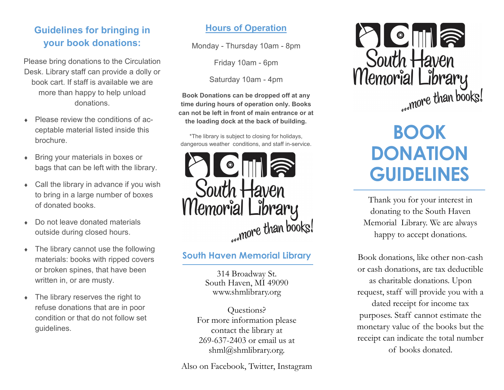## **Guidelines for bringing in your book donations:**

Please bring donations to the Circulation Desk. Library staff can provide a dolly or book cart. If staff is available we are more than happy to help unload donations.

- Please review the conditions of acceptable material listed inside this brochure.
- Bring your materials in boxes or bags that can be left with the library.
- Call the library in advance if you wish to bring in a large number of boxes of donated books.
- Do not leave donated materials outside during closed hours.
- The library cannot use the following materials: books with ripped covers or broken spines, that have been written in, or are musty.
- The library reserves the right to refuse donations that are in poor condition or that do not follow set guidelines.

#### **Hours of Operation**

Monday - Thursday 10am - 8pm

Friday 10am - 6pm

Saturday 10am - 4pm

**Book Donations can be dropped off at any time during hours of operation only. Books can not be left in front of main entrance or at the loading dock at the back of building.**

\*The library is subject to closing for holidays, dangerous weather conditions, and staff in-service.



#### **South Haven Memorial Library**

314 Broadway St. South Haven, MI 49090 www.shmlibrary.org

Questions? For more information please contact the library at 269-637-2403 or email us at shml@shmlibrary.org.

Also on Facebook, Twitter, Instagram



# **BOOK DONATION GUIDELINES**

Thank you for your interest in donating to the South Haven Memorial Library. We are always happy to accept donations.

Book donations, like other non-cash or cash donations, are tax deductible as charitable donations. Upon request, staff will provide you with a dated receipt for income tax purposes. Staff cannot estimate the monetary value of the books but the receipt can indicate the total number of books donated.